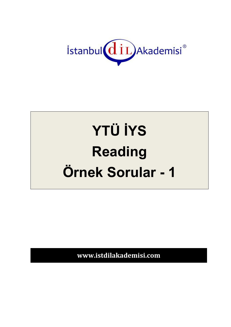

# **YTÜ İYS Reading** Örnek Sorular - 1

www.istdilakademisi.com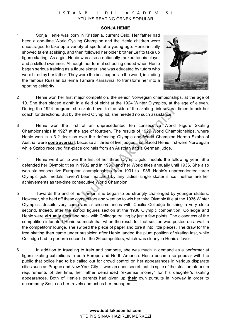## İSTANBUL DİL AKADEMİSİ YTÜ İYS READING ÖRNEK SORULAR

#### **SONJA HENIE**

1 Sonja Henie was born in Kristiania, current Oslo. Her father had been a one-time World Cycling Champion and the Henie children were encouraged to take up a variety of sports at a young age. Henie initially showed talent at skiing, and then followed her older brother Leif to take up figure skating. As a girl, Henie was also a nationally ranked tennis player and a skilled swimmer. Although her formal schooling ended when Henie began serious training as a figure skater, she was educated by tutors who were hired by her father. They were the best experts in the world, including the famous Russian ballerina Tamara Karsavina, to transform her into a sporting celebrity.



- 2 Henie won her first major competition, the senior Norwegian championships, at the age of 10. She then placed eighth in a field of eight at the 1924 Winter Olympics, at the age of eleven. During the 1924 program, she skated over to the side of the skating rink several times to ask her coach for directions. But by the next Olympiad, she needed no such assistance.
- 3 Henie won the first of an unprecedented ten consecutive World Figure Skating Championships in 1927 at the age of fourteen. The results of 1927 World Championships, where Henie won in a 3-2 decision over the defending Olympic and World Champion Herma Szabo of Austria, were **controversial**, because all three of five judges that placed Henie first were Norwegian while Szabo received first-place ordinals from an Austrian and a German judge.
- 4 Henie went on to win the first of her three Olympic gold medals the following year. She defended her Olympic titles in 1932 and in 1936, and her World titles annually until 1936. She also won six consecutive European championships from 1931 to 1936. Henie's unprecedented three Olympic gold medals haven't been matched by any ladies single skater since; neither are her achievements as ten-time consecutive World Champion.
- 5 Towards the end of her career, she began to be strongly challenged by younger skaters. However, she held off these competitors and went on to win her third Olympic title at the 1936 Winter Olympics, despite very controversial circumstances with Cecilia Colledge finishing a very close second. Indeed, after the school figures section at the 1936 Olympic competition, Colledge and Henie were **virtually** neck and neck with Colledge trailing by just a few points. The closeness of the competition infuriated Henie so much that when the result for that section was posted on a wall in the competitors' lounge, she swiped the piece of paper and tore it into little pieces. The draw for the free skating then came under suspicion after Henie landed the plum position of skating last, while Colledge had to perform second of the 26 competitors, which was clearly in Henie's favor.
- 6 In addition to traveling to train and compete, she was much in demand as a performer at figure skating exhibitions in both Europe and North America. Henie became so popular with the public that police had to be called out for crowd control on her appearances in various disparate cities such as Prague and New York City. It was an open secret that, in spite of the strict amateurism requirements of the time, her father demanded "expense money" for his daughter's skating appearances. Both of Henie's parents had given up **their** own pursuits in Norway in order to accompany Sonja on her travels and act as her managers.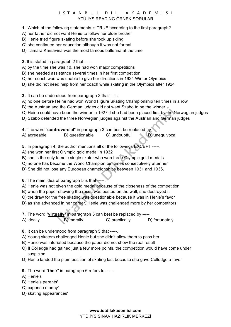## İSTANBUL DİL AKADEMİSİ YTÜ İYS READING ÖRNEK SORULAR

- **1.** Which of the following statements is TRUE according to the first paragraph?
- A) her father did not want Henie to follow her older brother
- B) Henie tried figure skating before she took up skiing
- C) she continued her education although it was not formal
- D) Tamara Karsavina was the most famous ballerina at the time
- **2.** It is stated in paragraph 2 that -----.
- A) by the time she was 10, she had won major competitions
- B) she needed assistance several times in her first competition
- C) her coach was was unable to give her directions in 1924 Winter Olympics
- D) she did not need help from her coach while skating in the Olympics after 1924

**3.** It can be understood from paragraph 3 that -----.

- A) no one before Heine had won World Figure Skating Championship ten times in a row
- B) the Austrian and the German judges did not want Szabo to be the winner  $\bullet$
- C) Heine could have been the winner in 1927 if she had been placed first by the Norwegian judges
- D) Szabo defended the three Norwegian judges against the Austrian and German judges
- **4.** The word "**controversial**" in paragraph 3 can best be replaced by

A) agreeable B) questionable C) undoubtful D) unequivocal

**5.** In paragraph 4, the author mentions all of the followings EXCEPT -----.

- A) she won her first Olympic gold medal in 1932
- B) she is the only female single skater who won three Olympic gold medals
- C) no one has become the World Champion ten times consecutively after her
- D) She did not lose any European championships between 1931 and 1936.

**6.** The main idea of paragraph 5 is that ----

- A) Henie was not given the gold medal because of the closeness of the competition
- B) when the paper showing the result was posted on the wall, she destroyed it
- C) the draw for the free skating was questionable because it was in Henie's favor
- D) as she advanced in her career, Henie was challenged more by her competitors
- **7.** The word "**virtually**" in paragraph 5 can best be replaced by -----.

| A) ideally | B) morally | C) practically | D) fortunately |
|------------|------------|----------------|----------------|
|------------|------------|----------------|----------------|

- **8.** It can be understood from paragraph 5 that -----.
- A) Young skaters challenged Henie but she didn't allow them to pass her
- B) Henie was infuriated because the paper did not show the real result
- C) If Colledge had gained just a few more points, the competition would have come under suspicion
- D) Henie landed the plum position of skating last because she gave Colledge a favor
- **9.** The word "**their**" in paragraph 6 refers to -----.
- A) Henie's
- B) Henie's parents'
- C) expense money'
- D) skating appearances'